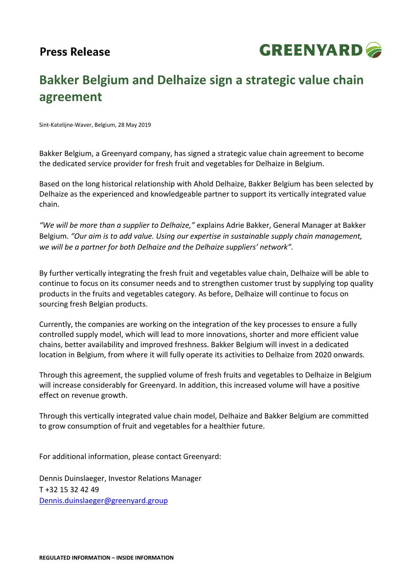

## **Bakker Belgium and Delhaize sign a strategic value chain agreement**

Sint-Katelijne-Waver, Belgium, 28 May 2019

Bakker Belgium, a Greenyard company, has signed a strategic value chain agreement to become the dedicated service provider for fresh fruit and vegetables for Delhaize in Belgium.

Based on the long historical relationship with Ahold Delhaize, Bakker Belgium has been selected by Delhaize as the experienced and knowledgeable partner to support its vertically integrated value chain.

*"We will be more than a supplier to Delhaize,"* explains Adrie Bakker, General Manager at Bakker Belgium. *"Our aim is to add value. Using our expertise in sustainable supply chain management, we will be a partner for both Delhaize and the Delhaize suppliers' network".*

By further vertically integrating the fresh fruit and vegetables value chain, Delhaize will be able to continue to focus on its consumer needs and to strengthen customer trust by supplying top quality products in the fruits and vegetables category. As before, Delhaize will continue to focus on sourcing fresh Belgian products.

Currently, the companies are working on the integration of the key processes to ensure a fully controlled supply model, which will lead to more innovations, shorter and more efficient value chains, better availability and improved freshness. Bakker Belgium will invest in a dedicated location in Belgium, from where it will fully operate its activities to Delhaize from 2020 onwards.

Through this agreement, the supplied volume of fresh fruits and vegetables to Delhaize in Belgium will increase considerably for Greenyard. In addition, this increased volume will have a positive effect on revenue growth.

Through this vertically integrated value chain model, Delhaize and Bakker Belgium are committed to grow consumption of fruit and vegetables for a healthier future.

For additional information, please contact Greenyard:

Dennis Duinslaeger, Investor Relations Manager T +32 15 32 42 49 [Dennis.duinslaeger@greenyard.group](mailto:Dennis.duinslaeger@greenyard.group)